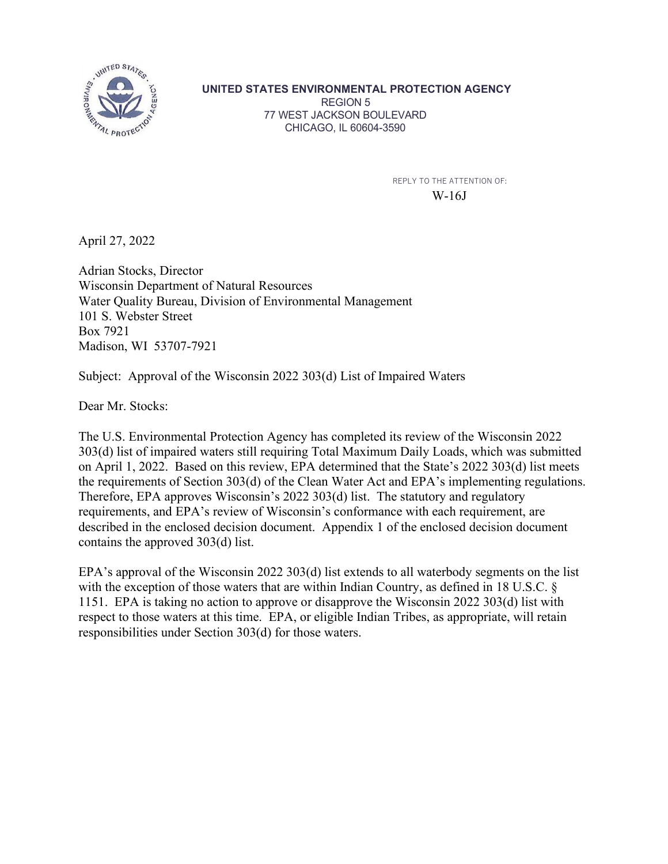

**UNITED STATES ENVIRONMENTAL PROTECTION AGENCY** REGION 5 77 WEST JACKSON BOULEVARD CHICAGO, IL 60604-3590

> REPLY TO THE ATTENTION OF: W-16J

April 27, 2022

Adrian Stocks, Director Wisconsin Department of Natural Resources Water Quality Bureau, Division of Environmental Management 101 S. Webster Street Box 7921 Madison, WI 53707-7921

Subject: Approval of the Wisconsin 2022 303(d) List of Impaired Waters

Dear Mr. Stocks:

The U.S. Environmental Protection Agency has completed its review of the Wisconsin 2022 303(d) list of impaired waters still requiring Total Maximum Daily Loads, which was submitted on April 1, 2022. Based on this review, EPA determined that the State's 2022 303(d) list meets the requirements of Section 303(d) of the Clean Water Act and EPA's implementing regulations. Therefore, EPA approves Wisconsin's 2022 303(d) list. The statutory and regulatory requirements, and EPA's review of Wisconsin's conformance with each requirement, are described in the enclosed decision document. Appendix 1 of the enclosed decision document contains the approved 303(d) list.

EPA's approval of the Wisconsin 2022 303(d) list extends to all waterbody segments on the list with the exception of those waters that are within Indian Country, as defined in 18 U.S.C. § 1151. EPA is taking no action to approve or disapprove the Wisconsin 2022 303(d) list with respect to those waters at this time. EPA, or eligible Indian Tribes, as appropriate, will retain responsibilities under Section 303(d) for those waters.